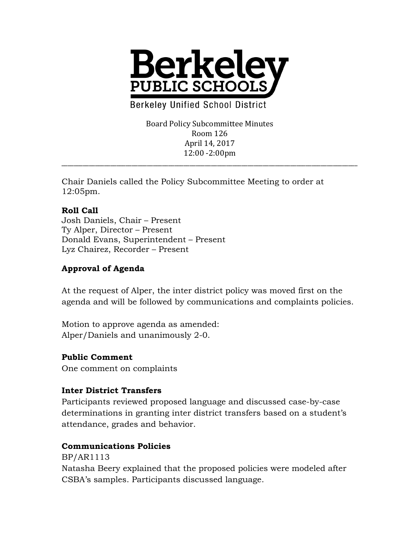

**Berkeley Unified School District** 

Board Policy Subcommittee Minutes Room 126 April 14, 2017 12:00 -2:00pm

\_\_\_\_\_\_\_\_\_\_\_\_\_\_\_\_\_\_\_\_\_\_\_\_\_\_\_\_\_\_\_\_\_\_\_\_\_\_\_\_\_\_\_\_\_\_\_\_\_\_\_\_\_\_\_\_\_\_\_\_\_\_\_\_\_\_\_\_\_\_\_\_\_\_\_\_\_\_\_\_\_\_\_\_\_\_\_\_\_\_\_\_\_\_\_\_\_

Chair Daniels called the Policy Subcommittee Meeting to order at 12:05pm.

## **Roll Call**

Josh Daniels, Chair – Present Ty Alper, Director – Present Donald Evans, Superintendent – Present Lyz Chairez, Recorder – Present

# **Approval of Agenda**

At the request of Alper, the inter district policy was moved first on the agenda and will be followed by communications and complaints policies.

Motion to approve agenda as amended: Alper/Daniels and unanimously 2-0.

## **Public Comment**

One comment on complaints

## **Inter District Transfers**

Participants reviewed proposed language and discussed case-by-case determinations in granting inter district transfers based on a student's attendance, grades and behavior.

#### **Communications Policies**

BP/AR1113 Natasha Beery explained that the proposed policies were modeled after CSBA's samples. Participants discussed language.